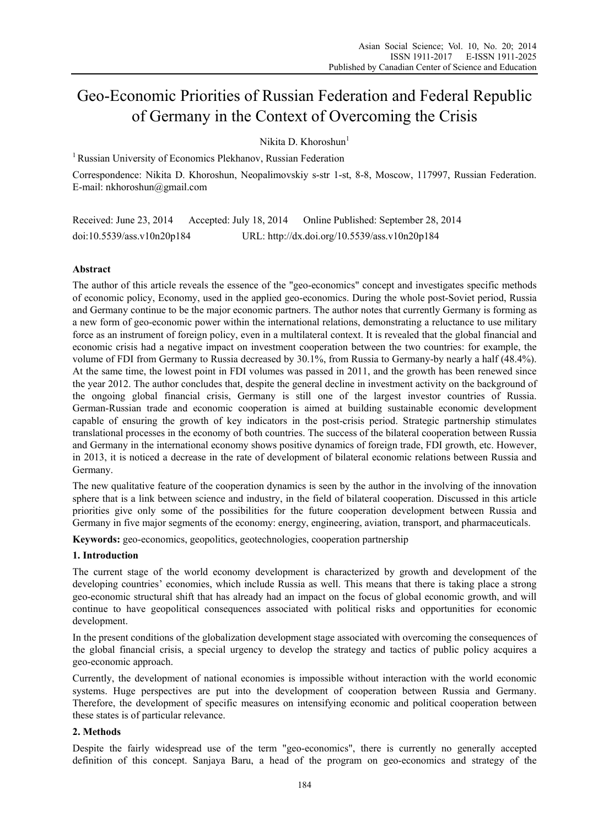# Geo-Economic Priorities of Russian Federation and Federal Republic of Germany in the Context of Overcoming the Crisis

Nikita D. Khoroshun<sup>1</sup>

<sup>1</sup> Russian University of Economics Plekhanov, Russian Federation

Correspondence: Nikita D. Khoroshun, Neopalimovskiy s-str 1-st, 8-8, Moscow, 117997, Russian Federation. E-mail: nkhoroshun@gmail.com

Received: June 23, 2014 Accepted: July 18, 2014 Online Published: September 28, 2014 doi:10.5539/ass.v10n20p184 URL: http://dx.doi.org/10.5539/ass.v10n20p184

# **Abstract**

The author of this article reveals the essence of the "geo-economics" concept and investigates specific methods of economic policy, Economy, used in the applied geo-economics. During the whole post-Soviet period, Russia and Germany continue to be the major economic partners. The author notes that currently Germany is forming as a new form of geo-economic power within the international relations, demonstrating a reluctance to use military force as an instrument of foreign policy, even in a multilateral context. It is revealed that the global financial and economic crisis had a negative impact on investment cooperation between the two countries: for example, the volume of FDI from Germany to Russia decreased by 30.1%, from Russia to Germany-by nearly a half (48.4%). At the same time, the lowest point in FDI volumes was passed in 2011, and the growth has been renewed since the year 2012. The author concludes that, despite the general decline in investment activity on the background of the ongoing global financial crisis, Germany is still one of the largest investor countries of Russia. German-Russian trade and economic cooperation is aimed at building sustainable economic development capable of ensuring the growth of key indicators in the post-crisis period. Strategic partnership stimulates translational processes in the economy of both countries. The success of the bilateral cooperation between Russia and Germany in the international economy shows positive dynamics of foreign trade, FDI growth, etc. However, in 2013, it is noticed a decrease in the rate of development of bilateral economic relations between Russia and Germany.

The new qualitative feature of the cooperation dynamics is seen by the author in the involving of the innovation sphere that is a link between science and industry, in the field of bilateral cooperation. Discussed in this article priorities give only some of the possibilities for the future cooperation development between Russia and Germany in five major segments of the economy: energy, engineering, aviation, transport, and pharmaceuticals.

**Keywords:** geo-economics, geopolitics, geotechnologies, cooperation partnership

# **1. Introduction**

The current stage of the world economy development is characterized by growth and development of the developing countries' economies, which include Russia as well. This means that there is taking place a strong geo-economic structural shift that has already had an impact on the focus of global economic growth, and will continue to have geopolitical consequences associated with political risks and opportunities for economic development.

In the present conditions of the globalization development stage associated with overcoming the consequences of the global financial crisis, a special urgency to develop the strategy and tactics of public policy acquires a geo-economic approach.

Currently, the development of national economies is impossible without interaction with the world economic systems. Huge perspectives are put into the development of cooperation between Russia and Germany. Therefore, the development of specific measures on intensifying economic and political cooperation between these states is of particular relevance.

# **2. Methods**

Despite the fairly widespread use of the term "geo-economics", there is currently no generally accepted definition of this concept. Sanjaya Baru, a head of the program on geo-economics and strategy of the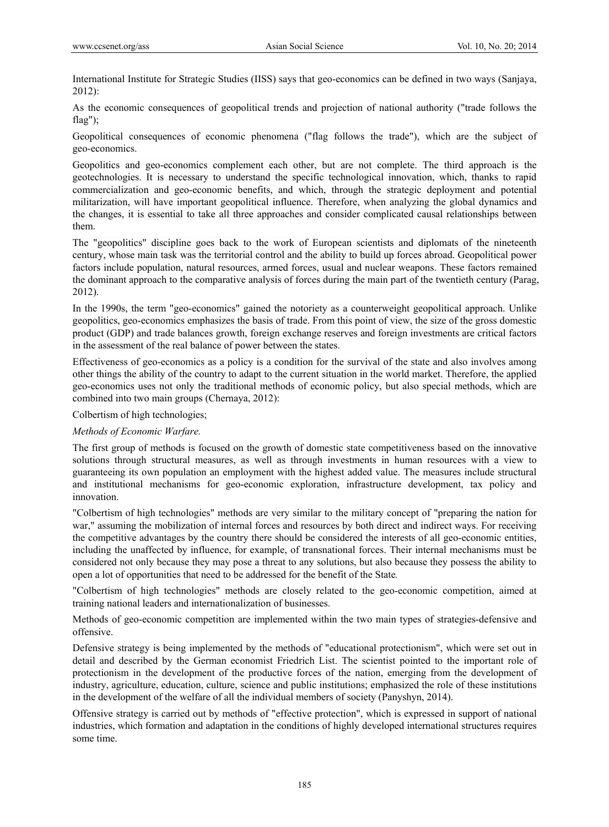International Institute for Strategic Studies (IISS) says that geo-economics can be defined in two ways (Sanjaya, 2012):

As the economic consequences of geopolitical trends and projection of national authority ("trade follows the flag");

Geopolitical consequences of economic phenomena ("flag follows the trade"), which are the subject of geo-economics.

Geopolitics and geo-economics complement each other, but are not complete. The third approach is the geotechnologies. It is necessary to understand the specific technological innovation, which, thanks to rapid commercialization and geo-economic benefits, and which, through the strategic deployment and potential militarization, will have important geopolitical influence. Therefore, when analyzing the global dynamics and the changes, it is essential to take all three approaches and consider complicated causal relationships between them.

The "geopolitics" discipline goes back to the work of European scientists and diplomats of the nineteenth century, whose main task was the territorial control and the ability to build up forces abroad. Geopolitical power factors include population, natural resources, armed forces, usual and nuclear weapons. These factors remained the dominant approach to the comparative analysis of forces during the main part of the twentieth century (Parag, 2012).

In the 1990s, the term "geo-economics" gained the notoriety as a counterweight geopolitical approach. Unlike geopolitics, geo-economics emphasizes the basis of trade. From this point of view, the size of the gross domestic product (GDP) and trade balances growth, foreign exchange reserves and foreign investments are critical factors in the assessment of the real balance of power between the states.

Effectiveness of geo-economics as a policy is a condition for the survival of the state and also involves among other things the ability of the country to adapt to the current situation in the world market. Therefore, the applied geo-economics uses not only the traditional methods of economic policy, but also special methods, which are combined into two main groups (Chernaya, 2012):

Colbertism of high technologies;

*Methods of Economic Warfare.*

The first group of methods is focused on the growth of domestic state competitiveness based on the innovative solutions through structural measures, as well as through investments in human resources with a view to guaranteeing its own population an employment with the highest added value. The measures include structural and institutional mechanisms for geo-economic exploration, infrastructure development, tax policy and innovation.

"Colbertism of high technologies" methods are very similar to the military concept of "preparing the nation for war," assuming the mobilization of internal forces and resources by both direct and indirect ways. For receiving the competitive advantages by the country there should be considered the interests of all geo-economic entities, including the unaffected by influence, for example, of transnational forces. Their internal mechanisms must be considered not only because they may pose a threat to any solutions, but also because they possess the ability to open a lot of opportunities that need to be addressed for the benefit of the State*.*

"Colbertism of high technologies" methods are closely related to the geo-economic competition, aimed at training national leaders and internationalization of businesses.

Methods of geo-economic competition are implemented within the two main types of strategies-defensive and offensive.

Defensive strategy is being implemented by the methods of "educational protectionism", which were set out in detail and described by the German economist Friedrich List. The scientist pointed to the important role of protectionism in the development of the productive forces of the nation, emerging from the development of industry, agriculture, education, culture, science and public institutions; emphasized the role of these institutions in the development of the welfare of all the individual members of society (Panyshyn, 2014).

Offensive strategy is carried out by methods of "effective protection", which is expressed in support of national industries, which formation and adaptation in the conditions of highly developed international structures requires some time.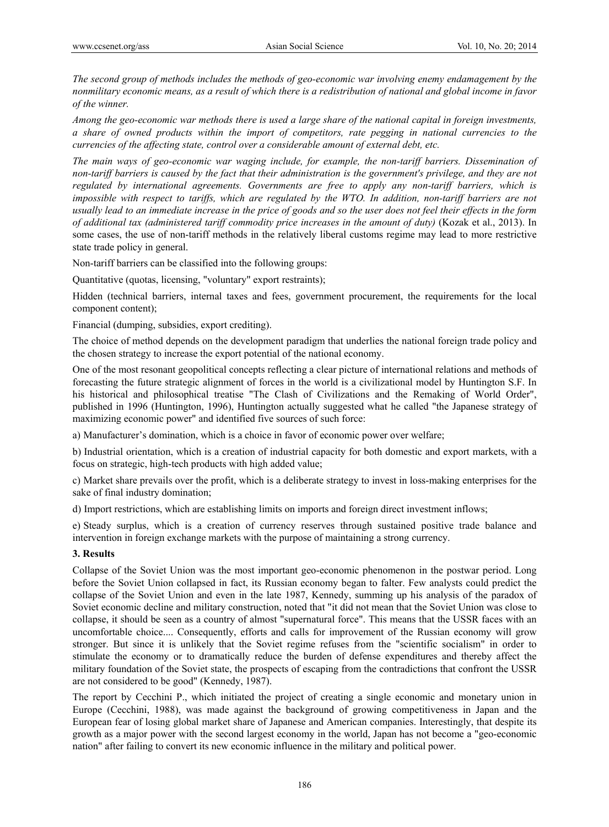*The second group of methods includes the methods of geo-economic war involving enemy endamagement by the nonmilitary economic means, as a result of which there is a redistribution of national and global income in favor of the winner.* 

*Among the geo-economic war methods there is used a large share of the national capital in foreign investments, a share of owned products within the import of competitors, rate pegging in national currencies to the currencies of the affecting state, control over a considerable amount of external debt, etc.* 

*The main ways of geo-economic war waging include, for example, the non-tariff barriers. Dissemination of non-tariff barriers is caused by the fact that their administration is the government's privilege, and they are not regulated by international agreements. Governments are free to apply any non-tariff barriers, which is impossible with respect to tariffs, which are regulated by the WTO. In addition, non-tariff barriers are not usually lead to an immediate increase in the price of goods and so the user does not feel their effects in the form of additional tax (administered tariff commodity price increases in the amount of duty)* (Kozak et al., 2013). In some cases, the use of non-tariff methods in the relatively liberal customs regime may lead to more restrictive state trade policy in general.

Non-tariff barriers can be classified into the following groups:

Quantitative (quotas, licensing, "voluntary" export restraints);

Hidden (technical barriers, internal taxes and fees, government procurement, the requirements for the local component content);

Financial (dumping, subsidies, export crediting).

The choice of method depends on the development paradigm that underlies the national foreign trade policy and the chosen strategy to increase the export potential of the national economy.

One of the most resonant geopolitical concepts reflecting a clear picture of international relations and methods of forecasting the future strategic alignment of forces in the world is a civilizational model by Huntington S.F. In his historical and philosophical treatise "The Clash of Civilizations and the Remaking of World Order", published in 1996 (Huntington, 1996), Huntington actually suggested what he called "the Japanese strategy of maximizing economic power" and identified five sources of such force:

a) Manufacturer's domination, which is a choice in favor of economic power over welfare;

b) Industrial orientation, which is a creation of industrial capacity for both domestic and export markets, with a focus on strategic, high-tech products with high added value;

c) Market share prevails over the profit, which is a deliberate strategy to invest in loss-making enterprises for the sake of final industry domination;

d) Import restrictions, which are establishing limits on imports and foreign direct investment inflows;

e) Steady surplus, which is a creation of currency reserves through sustained positive trade balance and intervention in foreign exchange markets with the purpose of maintaining a strong currency.

## **3. Results**

Collapse of the Soviet Union was the most important geo-economic phenomenon in the postwar period. Long before the Soviet Union collapsed in fact, its Russian economy began to falter. Few analysts could predict the collapse of the Soviet Union and even in the late 1987, Kennedy, summing up his analysis of the paradox of Soviet economic decline and military construction, noted that "it did not mean that the Soviet Union was close to collapse, it should be seen as a country of almost "supernatural force". This means that the USSR faces with an uncomfortable choice.... Consequently, efforts and calls for improvement of the Russian economy will grow stronger. But since it is unlikely that the Soviet regime refuses from the "scientific socialism" in order to stimulate the economy or to dramatically reduce the burden of defense expenditures and thereby affect the military foundation of the Soviet state, the prospects of escaping from the contradictions that confront the USSR are not considered to be good" (Kennedy, 1987).

The report by Cecchini P., which initiated the project of creating a single economic and monetary union in Europe (Cecchini, 1988), was made against the background of growing competitiveness in Japan and the European fear of losing global market share of Japanese and American companies. Interestingly, that despite its growth as a major power with the second largest economy in the world, Japan has not become a "geo-economic nation" after failing to convert its new economic influence in the military and political power.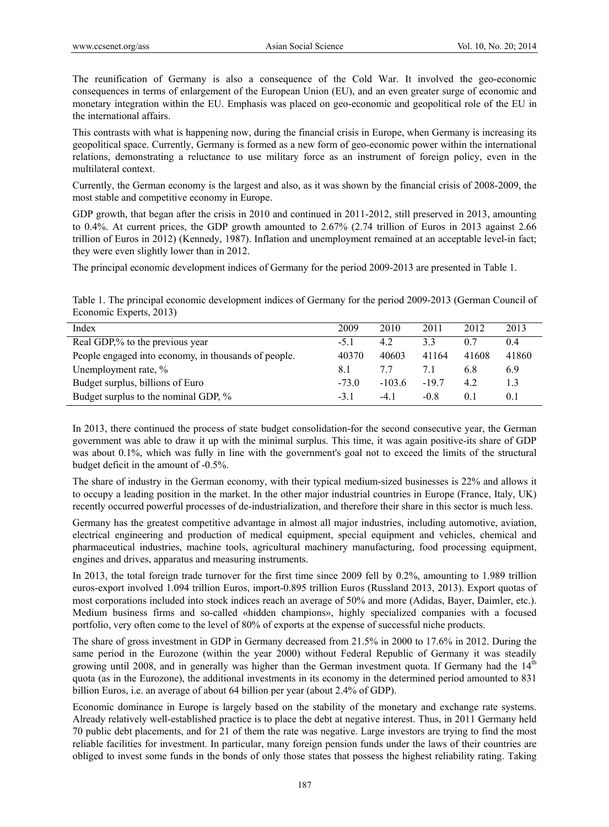The reunification of Germany is also a consequence of the Cold War. It involved the geo-economic consequences in terms of enlargement of the European Union (EU), and an even greater surge of economic and monetary integration within the EU. Emphasis was placed on geo-economic and geopolitical role of the EU in the international affairs.

This contrasts with what is happening now, during the financial crisis in Europe, when Germany is increasing its geopolitical space. Currently, Germany is formed as a new form of geo-economic power within the international relations, demonstrating a reluctance to use military force as an instrument of foreign policy, even in the multilateral context.

Currently, the German economy is the largest and also, as it was shown by the financial crisis of 2008-2009, the most stable and competitive economy in Europe.

GDP growth, that began after the crisis in 2010 and continued in 2011-2012, still preserved in 2013, amounting to 0.4%. At current prices, the GDP growth amounted to 2.67% (2.74 trillion of Euros in 2013 against 2.66 trillion of Euros in 2012) (Kennedy, 1987). Inflation and unemployment remained at an acceptable level-in fact; they were even slightly lower than in 2012.

The principal economic development indices of Germany for the period 2009-2013 are presented in Table 1.

Table 1. The principal economic development indices of Germany for the period 2009-2013 (German Council of Economic Experts, 2013)

| Index                                                | 2009    | 2010     | 2011   | 2012  | 2013  |
|------------------------------------------------------|---------|----------|--------|-------|-------|
| Real GDP,% to the previous year                      | $-5.1$  | 4.2      | 33     |       | 0.4   |
| People engaged into economy, in thousands of people. | 40370   | 40603    | 41164  | 41608 | 41860 |
| Unemployment rate, %                                 | 8.1     |          |        | 6.8   | 6.9   |
| Budget surplus, billions of Euro                     | $-73.0$ | $-103.6$ | $-197$ | 4.2   | 1.3   |
| Budget surplus to the nominal GDP, %                 | $-3.1$  | $-4.1$   | $-0.8$ | 0.1   | 0.1   |

In 2013, there continued the process of state budget consolidation-for the second consecutive year, the German government was able to draw it up with the minimal surplus. This time, it was again positive-its share of GDP was about 0.1%, which was fully in line with the government's goal not to exceed the limits of the structural budget deficit in the amount of -0.5%.

The share of industry in the German economy, with their typical medium-sized businesses is 22% and allows it to occupy a leading position in the market. In the other major industrial countries in Europe (France, Italy, UK) recently occurred powerful processes of de-industrialization, and therefore their share in this sector is much less.

Germany has the greatest competitive advantage in almost all major industries, including automotive, aviation, electrical engineering and production of medical equipment, special equipment and vehicles, chemical and pharmaceutical industries, machine tools, agricultural machinery manufacturing, food processing equipment, engines and drives, apparatus and measuring instruments.

In 2013, the total foreign trade turnover for the first time since 2009 fell by 0.2%, amounting to 1.989 trillion euros-export involved 1.094 trillion Euros, import-0.895 trillion Euros (Russland 2013, 2013). Export quotas of most corporations included into stock indices reach an average of 50% and more (Adidas, Bayer, Daimler, etc.). Medium business firms and so-called «hidden champions», highly specialized companies with a focused portfolio, very often come to the level of 80% of exports at the expense of successful niche products.

The share of gross investment in GDP in Germany decreased from 21.5% in 2000 to 17.6% in 2012. During the same period in the Eurozone (within the year 2000) without Federal Republic of Germany it was steadily growing until 2008, and in generally was higher than the German investment quota. If Germany had the  $14<sup>th</sup>$ quota (as in the Eurozone), the additional investments in its economy in the determined period amounted to 831 billion Euros, i.e. an average of about 64 billion per year (about 2.4% of GDP).

Economic dominance in Europe is largely based on the stability of the monetary and exchange rate systems. Already relatively well-established practice is to place the debt at negative interest. Thus, in 2011 Germany held 70 public debt placements, and for 21 of them the rate was negative. Large investors are trying to find the most reliable facilities for investment. In particular, many foreign pension funds under the laws of their countries are obliged to invest some funds in the bonds of only those states that possess the highest reliability rating. Taking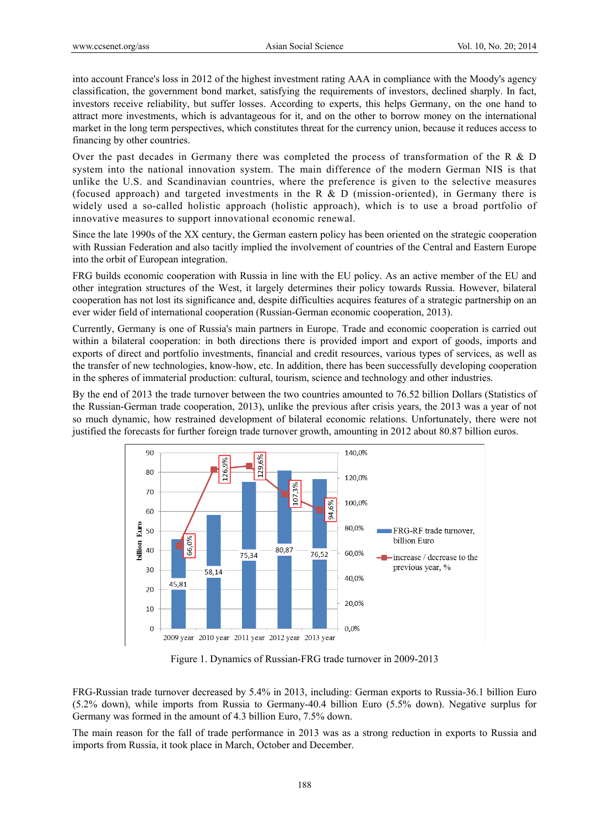into account France's loss in 2012 of the highest investment rating AAA in compliance with the Moody's agency classification, the government bond market, satisfying the requirements of investors, declined sharply. In fact, investors receive reliability, but suffer losses. According to experts, this helps Germany, on the one hand to attract more investments, which is advantageous for it, and on the other to borrow money on the international market in the long term perspectives, which constitutes threat for the currency union, because it reduces access to financing by other countries.

Over the past decades in Germany there was completed the process of transformation of the R & D system into the national innovation system. The main difference of the modern German NIS is that unlike the U.S. and Scandinavian countries, where the preference is given to the selective measures (focused approach) and targeted investments in the R & D (mission-oriented), in Germany there is widely used a so-called holistic approach (holistic approach), which is to use a broad portfolio of innovative measures to support innovational economic renewal.

Since the late 1990s of the XX century, the German eastern policy has been oriented on the strategic cooperation with Russian Federation and also tacitly implied the involvement of countries of the Central and Eastern Europe into the orbit of European integration.

FRG builds economic cooperation with Russia in line with the EU policy. As an active member of the EU and other integration structures of the West, it largely determines their policy towards Russia. However, bilateral cooperation has not lost its significance and, despite difficulties acquires features of a strategic partnership on an ever wider field of international cooperation (Russian-German economic cooperation, 2013).

Currently, Germany is one of Russia's main partners in Europe. Trade and economic cooperation is carried out within a bilateral cooperation: in both directions there is provided import and export of goods, imports and exports of direct and portfolio investments, financial and credit resources, various types of services, as well as the transfer of new technologies, know-how, etc. In addition, there has been successfully developing cooperation in the spheres of immaterial production: cultural, tourism, science and technology and other industries.

By the end of 2013 the trade turnover between the two countries amounted to 76.52 billion Dollars (Statistics of the Russian-German trade cooperation, 2013), unlike the previous after crisis years, the 2013 was a year of not so much dynamic, how restrained development of bilateral economic relations. Unfortunately, there were not justified the forecasts for further foreign trade turnover growth, amounting in 2012 about 80.87 billion euros.



Figure 1. Dynamics of Russian-FRG trade turnover in 2009-2013

FRG-Russian trade turnover decreased by 5.4% in 2013, including: German exports to Russia-36.1 billion Euro (5.2% down), while imports from Russia to Germany-40.4 billion Euro (5.5% down). Negative surplus for Germany was formed in the amount of 4.3 billion Euro, 7.5% down.

The main reason for the fall of trade performance in 2013 was as a strong reduction in exports to Russia and imports from Russia, it took place in March, October and December.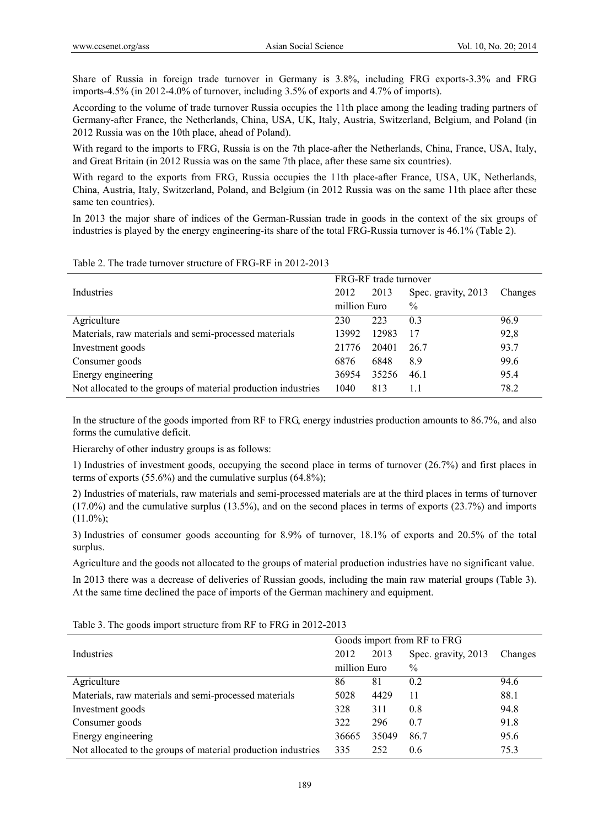Share of Russia in foreign trade turnover in Germany is 3.8%, including FRG exports-3.3% and FRG imports-4.5% (in 2012-4.0% of turnover, including 3.5% of exports and 4.7% of imports).

According to the volume of trade turnover Russia occupies the 11th place among the leading trading partners of Germany-after France, the Netherlands, China, USA, UK, Italy, Austria, Switzerland, Belgium, and Poland (in 2012 Russia was on the 10th place, ahead of Poland).

With regard to the imports to FRG, Russia is on the 7th place-after the Netherlands, China, France, USA, Italy, and Great Britain (in 2012 Russia was on the same 7th place, after these same six countries).

With regard to the exports from FRG, Russia occupies the 11th place-after France, USA, UK, Netherlands, China, Austria, Italy, Switzerland, Poland, and Belgium (in 2012 Russia was on the same 11th place after these same ten countries).

In 2013 the major share of indices of the German-Russian trade in goods in the context of the six groups of industries is played by the energy engineering-its share of the total FRG-Russia turnover is 46.1% (Table 2).

|                                                               | FRG-RF trade turnover |       |                     |         |
|---------------------------------------------------------------|-----------------------|-------|---------------------|---------|
| Industries                                                    | 2012                  | 2013  | Spec. gravity, 2013 | Changes |
|                                                               | million Euro          |       | $\%$                |         |
| Agriculture                                                   | 230                   | 223   | 0.3                 | 96.9    |
| Materials, raw materials and semi-processed materials         | 13992                 | 12983 | 17                  | 92,8    |
| Investment goods                                              | 21776                 | 20401 | 26.7                | 93.7    |
| Consumer goods                                                | 6876                  | 6848  | 8.9                 | 99.6    |
| Energy engineering                                            | 36954                 | 35256 | 46.1                | 95.4    |
| Not allocated to the groups of material production industries | 1040                  | 813   | 1.1                 | 78.2    |

Table 2. The trade turnover structure of FRG-RF in 2012-2013

In the structure of the goods imported from RF to FRG, energy industries production amounts to 86.7%, and also forms the cumulative deficit.

Hierarchy of other industry groups is as follows:

1) Industries of investment goods, occupying the second place in terms of turnover (26.7%) and first places in terms of exports (55.6%) and the cumulative surplus (64.8%);

2) Industries of materials, raw materials and semi-processed materials are at the third places in terms of turnover (17.0%) and the cumulative surplus (13.5%), and on the second places in terms of exports (23.7%) and imports  $(11.0\%)$ :

3) Industries of consumer goods accounting for 8.9% of turnover, 18.1% of exports and 20.5% of the total surplus.

Agriculture and the goods not allocated to the groups of material production industries have no significant value.

In 2013 there was a decrease of deliveries of Russian goods, including the main raw material groups (Table 3). At the same time declined the pace of imports of the German machinery and equipment.

|                                                               | Goods import from RF to FRG |       |                     |         |
|---------------------------------------------------------------|-----------------------------|-------|---------------------|---------|
| Industries                                                    | 2012                        | 2013  | Spec. gravity, 2013 | Changes |
|                                                               | million Euro                |       | $\frac{0}{0}$       |         |
| Agriculture                                                   | 86                          | 81    | 0.2                 | 94.6    |
| Materials, raw materials and semi-processed materials         | 5028                        | 4429  | 11                  | 88.1    |
| Investment goods                                              | 328                         | 311   | 0.8                 | 94.8    |
| Consumer goods                                                | 322                         | 296   | 0.7                 | 91.8    |
| Energy engineering                                            | 36665                       | 35049 | 86.7                | 95.6    |
| Not allocated to the groups of material production industries | 335                         | 252   | 0.6                 | 75.3    |

Table 3. The goods import structure from RF to FRG in 2012-2013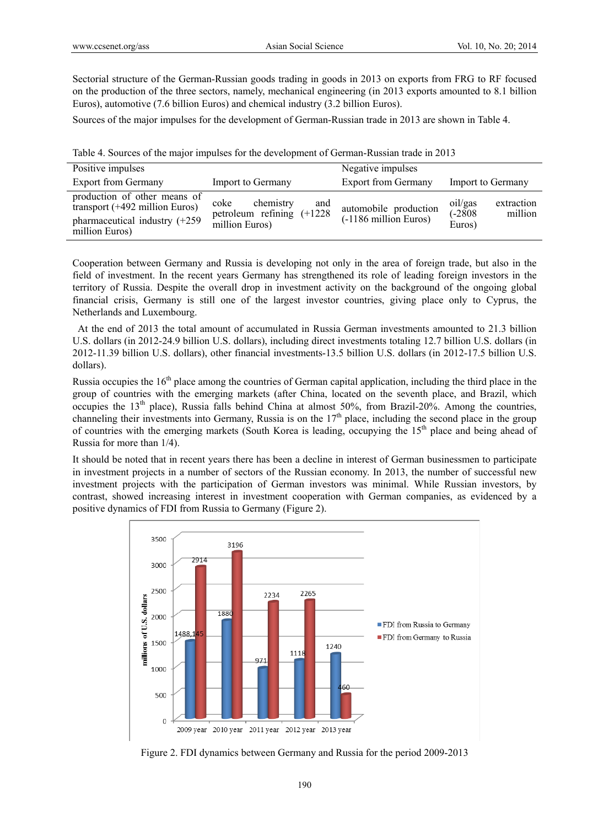Sectorial structure of the German-Russian goods trading in goods in 2013 on exports from FRG to RF focused on the production of the three sectors, namely, mechanical engineering (in 2013 exports amounted to 8.1 billion Euros), automotive (7.6 billion Euros) and chemical industry (3.2 billion Euros).

Sources of the major impulses for the development of German-Russian trade in 2013 are shown in Table 4.

| Positive impulses                                                                                                            |                                                                            | Negative impulses                              |                                                         |
|------------------------------------------------------------------------------------------------------------------------------|----------------------------------------------------------------------------|------------------------------------------------|---------------------------------------------------------|
| <b>Export from Germany</b>                                                                                                   | Import to Germany                                                          | <b>Export from Germany</b>                     | Import to Germany                                       |
| production of other means of<br>transport $(+492 \text{ million Euros})$<br>pharmaceutical industry (+259)<br>million Euros) | chemistry<br>coke<br>and<br>petroleum refining $(+1228)$<br>million Euros) | automobile production<br>(-1186 million Euros) | oil/gas<br>extraction<br>$(-2808)$<br>million<br>Euros) |

|  |  |  | Table 4. Sources of the major impulses for the development of German-Russian trade in 2013 |
|--|--|--|--------------------------------------------------------------------------------------------|
|  |  |  |                                                                                            |

Cooperation between Germany and Russia is developing not only in the area of foreign trade, but also in the field of investment. In the recent years Germany has strengthened its role of leading foreign investors in the territory of Russia. Despite the overall drop in investment activity on the background of the ongoing global financial crisis, Germany is still one of the largest investor countries, giving place only to Cyprus, the Netherlands and Luxembourg.

 At the end of 2013 the total amount of accumulated in Russia German investments amounted to 21.3 billion U.S. dollars (in 2012-24.9 billion U.S. dollars), including direct investments totaling 12.7 billion U.S. dollars (in 2012-11.39 billion U.S. dollars), other financial investments-13.5 billion U.S. dollars (in 2012-17.5 billion U.S. dollars).

Russia occupies the 16<sup>th</sup> place among the countries of German capital application, including the third place in the group of countries with the emerging markets (after China, located on the seventh place, and Brazil, which occupies the 13<sup>th</sup> place), Russia falls behind China at almost 50%, from Brazil-20%. Among the countries, channeling their investments into Germany, Russia is on the 17<sup>th</sup> place, including the second place in the group of countries with the emerging markets (South Korea is leading, occupying the 15th place and being ahead of Russia for more than 1/4).

It should be noted that in recent years there has been a decline in interest of German businessmen to participate in investment projects in a number of sectors of the Russian economy. In 2013, the number of successful new investment projects with the participation of German investors was minimal. While Russian investors, by contrast, showed increasing interest in investment cooperation with German companies, as evidenced by a positive dynamics of FDI from Russia to Germany (Figure 2).



Figure 2. FDI dynamics between Germany and Russia for the period 2009-2013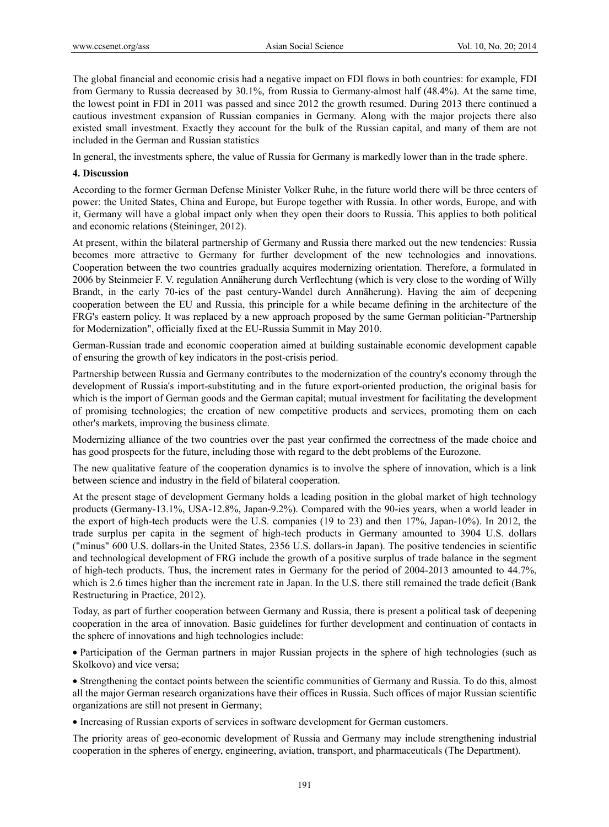The global financial and economic crisis had a negative impact on FDI flows in both countries: for example, FDI from Germany to Russia decreased by 30.1%, from Russia to Germany-almost half (48.4%). At the same time, the lowest point in FDI in 2011 was passed and since 2012 the growth resumed. During 2013 there continued a cautious investment expansion of Russian companies in Germany. Along with the major projects there also existed small investment. Exactly they account for the bulk of the Russian capital, and many of them are not included in the German and Russian statistics

In general, the investments sphere, the value of Russia for Germany is markedly lower than in the trade sphere.

#### **4. Discussion**

According to the former German Defense Minister Volker Ruhe, in the future world there will be three centers of power: the United States, China and Europe, but Europe together with Russia. In other words, Europe, and with it, Germany will have a global impact only when they open their doors to Russia. This applies to both political and economic relations (Steininger, 2012).

At present, within the bilateral partnership of Germany and Russia there marked out the new tendencies: Russia becomes more attractive to Germany for further development of the new technologies and innovations. Cooperation between the two countries gradually acquires modernizing orientation. Therefore, a formulated in 2006 by Steinmeier F. V. regulation Annäherung durch Verflechtung (which is very close to the wording of Willy Brandt, in the early 70-ies of the past century-Wandel durch Annäherung). Having the aim of deepening cooperation between the EU and Russia, this principle for a while became defining in the architecture of the FRG's eastern policy. It was replaced by a new approach proposed by the same German politician-"Partnership for Modernization", officially fixed at the EU-Russia Summit in May 2010.

German-Russian trade and economic cooperation aimed at building sustainable economic development capable of ensuring the growth of key indicators in the post-crisis period.

Partnership between Russia and Germany contributes to the modernization of the country's economy through the development of Russia's import-substituting and in the future export-oriented production, the original basis for which is the import of German goods and the German capital; mutual investment for facilitating the development of promising technologies; the creation of new competitive products and services, promoting them on each other's markets, improving the business climate.

Modernizing alliance of the two countries over the past year confirmed the correctness of the made choice and has good prospects for the future, including those with regard to the debt problems of the Eurozone.

The new qualitative feature of the cooperation dynamics is to involve the sphere of innovation, which is a link between science and industry in the field of bilateral cooperation.

At the present stage of development Germany holds a leading position in the global market of high technology products (Germany-13.1%, USA-12.8%, Japan-9.2%). Compared with the 90-ies years, when a world leader in the export of high-tech products were the U.S. companies (19 to 23) and then 17%, Japan-10%). In 2012, the trade surplus per capita in the segment of high-tech products in Germany amounted to 3904 U.S. dollars ("minus" 600 U.S. dollars-in the United States, 2356 U.S. dollars-in Japan). The positive tendencies in scientific and technological development of FRG include the growth of a positive surplus of trade balance in the segment of high-tech products. Thus, the increment rates in Germany for the period of 2004-2013 amounted to 44.7%, which is 2.6 times higher than the increment rate in Japan. In the U.S. there still remained the trade deficit (Bank Restructuring in Practice, 2012).

Today, as part of further cooperation between Germany and Russia, there is present a political task of deepening cooperation in the area of innovation. Basic guidelines for further development and continuation of contacts in the sphere of innovations and high technologies include:

 Participation of the German partners in major Russian projects in the sphere of high technologies (such as Skolkovo) and vice versa;

 Strengthening the contact points between the scientific communities of Germany and Russia. To do this, almost all the major German research organizations have their offices in Russia. Such offices of major Russian scientific organizations are still not present in Germany;

Increasing of Russian exports of services in software development for German customers.

The priority areas of geo-economic development of Russia and Germany may include strengthening industrial cooperation in the spheres of energy, engineering, aviation, transport, and pharmaceuticals (The Department).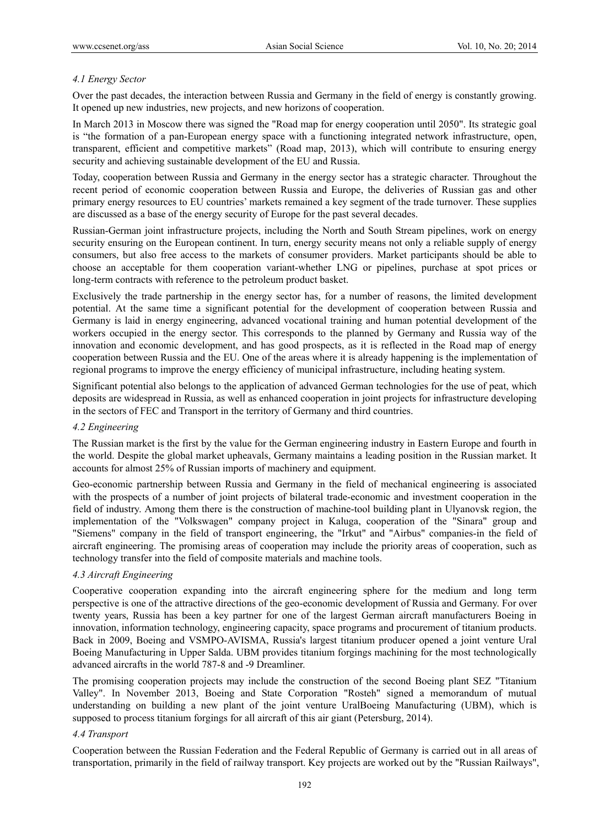## *4.1 Energy Sector*

Over the past decades, the interaction between Russia and Germany in the field of energy is constantly growing. It opened up new industries, new projects, and new horizons of cooperation.

In March 2013 in Moscow there was signed the "Road map for energy cooperation until 2050". Its strategic goal is "the formation of a pan-European energy space with a functioning integrated network infrastructure, open, transparent, efficient and competitive markets" (Road map, 2013), which will contribute to ensuring energy security and achieving sustainable development of the EU and Russia.

Today, cooperation between Russia and Germany in the energy sector has a strategic character. Throughout the recent period of economic cooperation between Russia and Europe, the deliveries of Russian gas and other primary energy resources to EU countries' markets remained a key segment of the trade turnover. These supplies are discussed as a base of the energy security of Europe for the past several decades.

Russian-German joint infrastructure projects, including the North and South Stream pipelines, work on energy security ensuring on the European continent. In turn, energy security means not only a reliable supply of energy consumers, but also free access to the markets of consumer providers. Market participants should be able to choose an acceptable for them cooperation variant-whether LNG or pipelines, purchase at spot prices or long-term contracts with reference to the petroleum product basket.

Exclusively the trade partnership in the energy sector has, for a number of reasons, the limited development potential. At the same time a significant potential for the development of cooperation between Russia and Germany is laid in energy engineering, advanced vocational training and human potential development of the workers occupied in the energy sector. This corresponds to the planned by Germany and Russia way of the innovation and economic development, and has good prospects, as it is reflected in the Road map of energy cooperation between Russia and the EU. One of the areas where it is already happening is the implementation of regional programs to improve the energy efficiency of municipal infrastructure, including heating system.

Significant potential also belongs to the application of advanced German technologies for the use of peat, which deposits are widespread in Russia, as well as enhanced cooperation in joint projects for infrastructure developing in the sectors of FEC and Transport in the territory of Germany and third countries.

## *4.2 Engineering*

The Russian market is the first by the value for the German engineering industry in Eastern Europe and fourth in the world. Despite the global market upheavals, Germany maintains a leading position in the Russian market. It accounts for almost 25% of Russian imports of machinery and equipment.

Geo-economic partnership between Russia and Germany in the field of mechanical engineering is associated with the prospects of a number of joint projects of bilateral trade-economic and investment cooperation in the field of industry. Among them there is the construction of machine-tool building plant in Ulyanovsk region, the implementation of the "Volkswagen" company project in Kaluga, cooperation of the "Sinara" group and "Siemens" company in the field of transport engineering, the "Irkut" and "Airbus" companies-in the field of aircraft engineering. The promising areas of cooperation may include the priority areas of cooperation, such as technology transfer into the field of composite materials and machine tools.

## *4.3 Aircraft Engineering*

Cooperative cooperation expanding into the aircraft engineering sphere for the medium and long term perspective is one of the attractive directions of the geo-economic development of Russia and Germany. For over twenty years, Russia has been a key partner for one of the largest German aircraft manufacturers Boeing in innovation, information technology, engineering capacity, space programs and procurement of titanium products. Back in 2009, Boeing and VSMPO-AVISMA, Russia's largest titanium producer opened a joint venture Ural Boeing Manufacturing in Upper Salda. UBM provides titanium forgings machining for the most technologically advanced aircrafts in the world 787-8 and -9 Dreamliner.

The promising cooperation projects may include the construction of the second Boeing plant SEZ "Titanium Valley". In November 2013, Boeing and State Corporation "Rosteh" signed a memorandum of mutual understanding on building a new plant of the joint venture UralBoeing Manufacturing (UBM), which is supposed to process titanium forgings for all aircraft of this air giant (Petersburg, 2014).

#### *4.4 Transport*

Cooperation between the Russian Federation and the Federal Republic of Germany is carried out in all areas of transportation, primarily in the field of railway transport. Key projects are worked out by the "Russian Railways",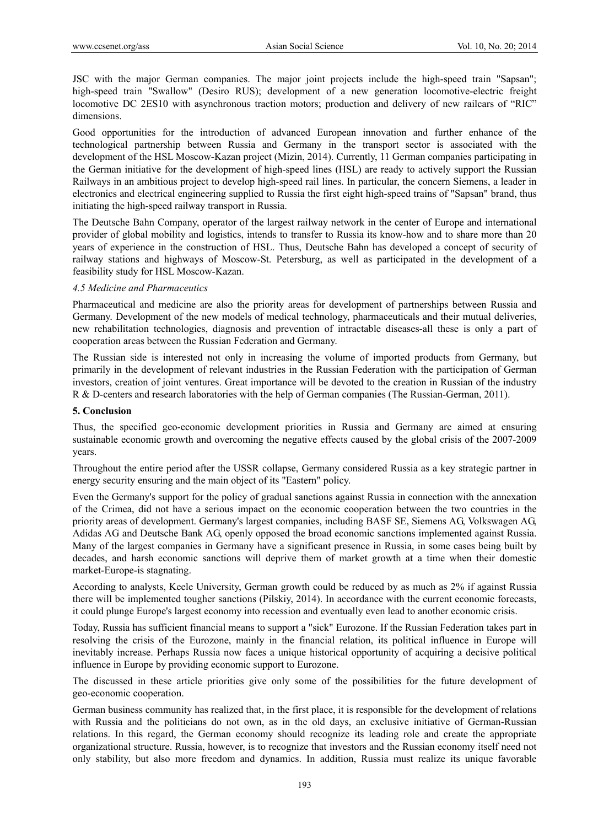JSC with the major German companies. The major joint projects include the high-speed train "Sapsan"; high-speed train "Swallow" (Desiro RUS); development of a new generation locomotive-electric freight locomotive DC 2ES10 with asynchronous traction motors; production and delivery of new railcars of "RIC" dimensions.

Good opportunities for the introduction of advanced European innovation and further enhance of the technological partnership between Russia and Germany in the transport sector is associated with the development of the HSL Moscow-Kazan project (Mizin, 2014). Currently, 11 German companies participating in the German initiative for the development of high-speed lines (HSL) are ready to actively support the Russian Railways in an ambitious project to develop high-speed rail lines. In particular, the concern Siemens, a leader in electronics and electrical engineering supplied to Russia the first eight high-speed trains of "Sapsan" brand, thus initiating the high-speed railway transport in Russia.

The Deutsche Bahn Company, operator of the largest railway network in the center of Europe and international provider of global mobility and logistics, intends to transfer to Russia its know-how and to share more than 20 years of experience in the construction of HSL. Thus, Deutsche Bahn has developed a concept of security of railway stations and highways of Moscow-St. Petersburg, as well as participated in the development of a feasibility study for HSL Moscow-Kazan.

#### *4.5 Medicine and Pharmaceutics*

Pharmaceutical and medicine are also the priority areas for development of partnerships between Russia and Germany. Development of the new models of medical technology, pharmaceuticals and their mutual deliveries, new rehabilitation technologies, diagnosis and prevention of intractable diseases-all these is only a part of cooperation areas between the Russian Federation and Germany.

The Russian side is interested not only in increasing the volume of imported products from Germany, but primarily in the development of relevant industries in the Russian Federation with the participation of German investors, creation of joint ventures. Great importance will be devoted to the creation in Russian of the industry R & D-centers and research laboratories with the help of German companies (The Russian-German, 2011).

#### **5. Conclusion**

Thus, the specified geo-economic development priorities in Russia and Germany are aimed at ensuring sustainable economic growth and overcoming the negative effects caused by the global crisis of the 2007-2009 years.

Throughout the entire period after the USSR collapse, Germany considered Russia as a key strategic partner in energy security ensuring and the main object of its "Eastern" policy.

Even the Germany's support for the policy of gradual sanctions against Russia in connection with the annexation of the Crimea, did not have a serious impact on the economic cooperation between the two countries in the priority areas of development. Germany's largest companies, including BASF SE, Siemens AG, Volkswagen AG, Adidas AG and Deutsche Bank AG, openly opposed the broad economic sanctions implemented against Russia. Many of the largest companies in Germany have a significant presence in Russia, in some cases being built by decades, and harsh economic sanctions will deprive them of market growth at a time when their domestic market-Europe-is stagnating.

According to analysts, Keele University, German growth could be reduced by as much as 2% if against Russia there will be implemented tougher sanctions (Pilskiy, 2014). In accordance with the current economic forecasts, it could plunge Europe's largest economy into recession and eventually even lead to another economic crisis.

Today, Russia has sufficient financial means to support a "sick" Eurozone. If the Russian Federation takes part in resolving the crisis of the Eurozone, mainly in the financial relation, its political influence in Europe will inevitably increase. Perhaps Russia now faces a unique historical opportunity of acquiring a decisive political influence in Europe by providing economic support to Eurozone.

The discussed in these article priorities give only some of the possibilities for the future development of geo-economic cooperation.

German business community has realized that, in the first place, it is responsible for the development of relations with Russia and the politicians do not own, as in the old days, an exclusive initiative of German-Russian relations. In this regard, the German economy should recognize its leading role and create the appropriate organizational structure. Russia, however, is to recognize that investors and the Russian economy itself need not only stability, but also more freedom and dynamics. In addition, Russia must realize its unique favorable